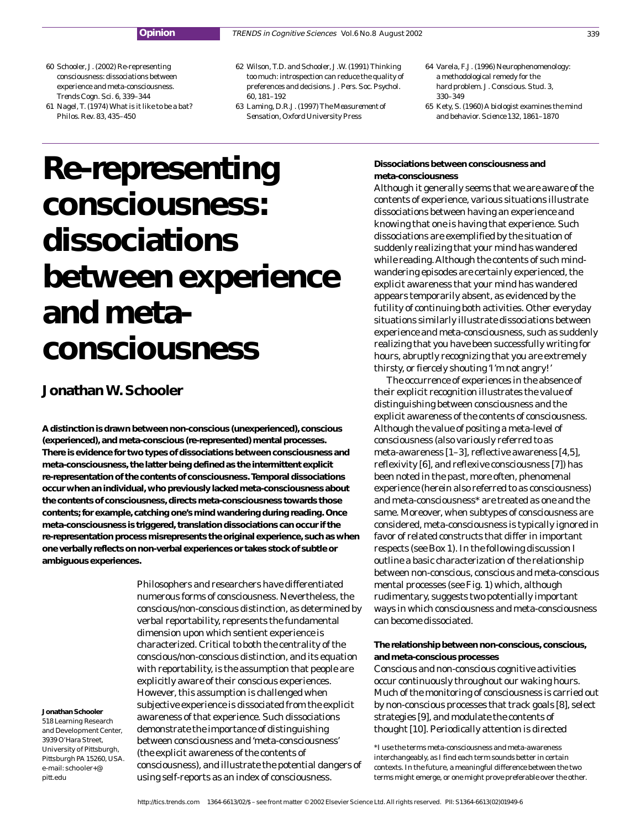60 Schooler, J. (2002) Re-representing consciousness: dissociations between experience and meta-consciousness. *Trends Cogn. Sci.* 6, 339–344

61 Nagel, T. (1974) What is it like to be a bat? *Philos. Rev.* 83, 435–450

- 62 Wilson, T.D. and Schooler, J.W. (1991) Thinking too much: introspection can reduce the quality of preferences and decisions. *J. Pers. Soc. Psychol.* 60, 181–192
- 63 Laming, D.R.J. (1997) *The Measurement of Sensation*, Oxford University Press
- 64 Varela, F.J. (1996) Neurophenomenology: a methodological remedy for the hard problem. *J. Conscious. Stud.* 3, 330–349
- 65 Kety, S. (1960) A biologist examines the mind and behavior. *Science* 132, 1861–1870

# **Re-representing consciousness: dissociations between experience and metaconsciousness**

## **Jonathan W. Schooler**

**A distinction is drawn between non-conscious (unexperienced), conscious (experienced), and meta-conscious (re-represented) mental processes. There is evidence for two types of dissociations between consciousness and meta-consciousness, the latter being defined as the intermittent explicit re-representation of the contents of consciousness. Temporal dissociations occur when an individual, who previously lacked meta-consciousness about the contents of consciousness, directs meta-consciousness towards those contents; for example, catching one's mind wandering during reading. Once meta-consciousness is triggered, translation dissociations can occur if the re-representation process misrepresents the original experience, such as when one verbally reflects on non-verbal experiences or takes stock of subtle or ambiguous experiences.**

> Philosophers and researchers have differentiated numerous forms of consciousness. Nevertheless, the conscious/non-conscious distinction, as determined by verbal reportability, represents the fundamental dimension upon which sentient experience is characterized. Critical to both the centrality of the conscious/non-conscious distinction, and its equation with reportability, is the assumption that people are explicitly aware of their conscious experiences. However, this assumption is challenged when subjective experience is dissociated from the explicit awareness of that experience. Such dissociations demonstrate the importance of distinguishing between consciousness and 'meta-consciousness' (the explicit awareness of the contents of consciousness), and illustrate the potential dangers of using self-reports as an index of consciousness.

**Dissociations between consciousness and meta-consciousness**

Although it generally seems that we are aware of the contents of experience, various situations illustrate dissociations between having an experience and knowing that one is having that experience. Such dissociations are exemplified by the situation of suddenly realizing that your mind has wandered while reading. Although the contents of such mindwandering episodes are certainly experienced, the explicit awareness that your mind has wandered appears temporarily absent, as evidenced by the futility of continuing both activities. Other everyday situations similarly illustrate dissociations between experience and meta-consciousness, such as suddenly realizing that you have been successfully writing for hours, abruptly recognizing that you are extremely thirsty, or fiercely shouting '*I'm not angry!*'

The occurrence of experiences in the absence of their explicit recognition illustrates the value of distinguishing between consciousness and the explicit awareness of the contents of consciousness. Although the value of positing a meta-level of consciousness (also variously referred to as meta-awareness [1–3], reflective awareness [4,5], reflexivity [6], and reflexive consciousness [7]) has been noted in the past, more often, phenomenal experience (herein also referred to as consciousness) and meta-consciousness\* are treated as one and the same. Moreover, when subtypes of consciousness are considered, meta-consciousness is typically ignored in favor of related constructs that differ in important respects (see Box 1). In the following discussion I outline a basic characterization of the relationship between non-conscious, conscious and meta-conscious mental processes (see Fig. 1) which, although rudimentary, suggests two potentially important ways in which consciousness and meta-consciousness can become dissociated.

**The relationship between non-conscious, conscious, and meta-conscious processes** Conscious and non-conscious cognitive activities occur continuously throughout our waking hours. Much of the monitoring of consciousness is carried out by non-conscious processes that track goals [8], select strategies [9], and modulate the contents of thought [10]. Periodically attention is directed

\*I use the terms meta-consciousness and meta-awareness interchangeably, as I find each term sounds better in certain contexts. In the future, a meaningful difference between the two terms might emerge, or one might prove preferable over the other.

### **Jonathan Schooler**

518 Learning Research and Development Center, 3939 O'Hara Street, University of Pittsburgh, Pittsburgh PA 15260, USA. e-mail: schooler+@ pitt.edu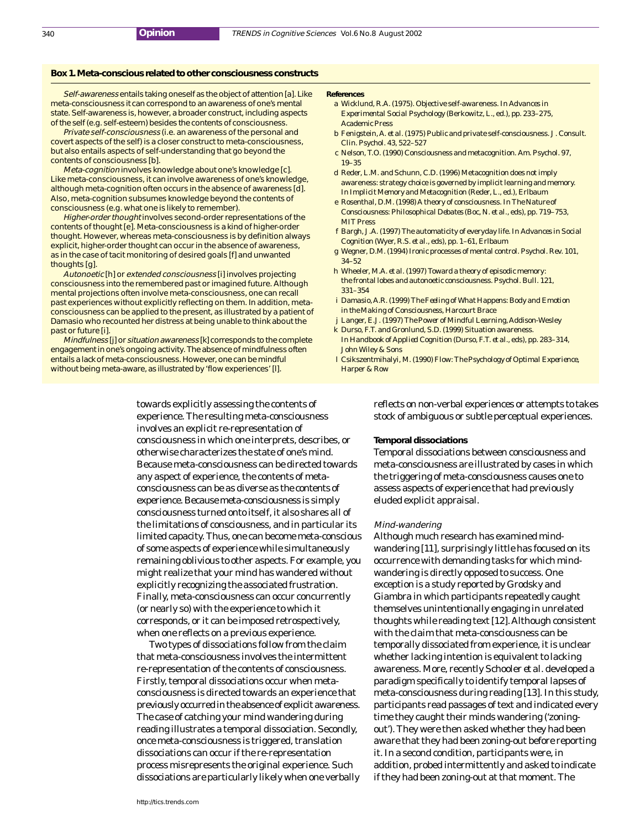#### **Box 1. Meta-conscious related to other consciousness constructs**

Self-awareness entails taking oneself as the object of attention [a]. Like meta-consciousness it can correspond to an awareness of one's mental state. Self-awareness is, however, a broader construct, including aspects of the self (e.g. self-esteem) besides the contents of consciousness.

Private self-consciousness (i.e. an awareness of the personal and covert aspects of the self) is a closer construct to meta-consciousness, but also entails aspects of self-understanding that go beyond the contents of consciousness [b].

Meta-cognition involves knowledge about one's knowledge [c]. Like meta-consciousness, it can involve awareness of one's knowledge, although meta-cognition often occurs in the absence of awareness [d]. Also, meta-cognition subsumes knowledge beyond the contents of consciousness (e.g. what one is likely to remember).

Higher-order thought involves second-order representations of the contents of thought [e]. Meta-consciousness is a kind of higher-order thought. However, whereas meta-consciousness is by definition always explicit, higher-order thought can occur in the absence of awareness, as in the case of tacit monitoring of desired goals [f] and unwanted thoughts [g].

Autonoetic [h] or extended consciousness [i] involves projecting consciousness into the remembered past or imagined future. Although mental projections often involve meta-consciousness, one can recall past experiences without explicitly reflecting on them. In addition, metaconsciousness can be applied to the present, as illustrated by a patient of Damasio who recounted her distress at being unable to think about the past or future [i].

Mindfulness [j] or situation awareness [k] corresponds to the complete engagement in one's ongoing activity. The absence of mindfulness often entails a lack of meta-consciousness. However, one can be mindful without being meta-aware, as illustrated by 'flow experiences' [l].

#### **References**

- a Wicklund, R.A. (1975). Objective self-awareness. In *Advances in Experimental Social Psychology* (Berkowitz, L., ed.), pp. 233–275, Academic Press
- b Fenigstein, A. *et al.* (1975) Public and private self-consciousness. *J. Consult. Clin. Psychol.* 43, 522–527
- c Nelson, T.O. (1990) Consciousness and metacognition. *Am. Psychol.* 97, 19–35
- d Reder, L.M. and Schunn, C.D. (1996) Metacognition does not imply awareness: strategy choice is governed by implicit learning and memory. In *Implicit Memory and Metacognition* (Reder, L., ed.), Erlbaum
- e Rosenthal, D.M. (1998) A theory of consciousness. In *The Nature of Consciousness: Philosophical Debates* (Boc, N. *et al.*, eds), pp. 719–753, MIT Press
- f Bargh, J.A. (1997) The automaticity of everyday life. In *Advances in Social Cognition* (Wyer, R.S. *et al.*, eds), pp. 1–61, Erlbaum
- g Wegner, D.M. (1994) Ironic processes of mental control. *Psychol. Rev.* 101, 34–52
- h Wheeler, M.A. *et al.* (1997) Toward a theory of episodic memory: the frontal lobes and autonoetic consciousness. *Psychol. Bull.* 121, 331–354
- i Damasio, A.R. (1999) *The Feeling of What Happens: Body and Emotion in the Making of Consciousness*, Harcourt Brace
- j Langer, E.J. (1997) *The Power of Mindful Learning*, Addison-Wesley k Durso, F.T. and Gronlund, S.D. (1999) Situation awareness.
- In *Handbook of Applied Cognition* (Durso, F.T. *et al.*, eds), pp. 283–314, John Wiley & Sons
- l Csikszentmihalyi, M. (1990) *Flow: The Psychology of Optimal Experience*, Harper & Row

towards explicitly assessing the contents of experience. The resulting meta-consciousness involves an explicit re-representation of consciousness in which one interprets, describes, or otherwise characterizes the state of one's mind. Because meta-consciousness can be directed towards any aspect of experience, the contents of metaconsciousness can be as diverse as the contents of experience. Because meta-consciousness is simply consciousness turned onto itself, it also shares all of the limitations of consciousness, and in particular its limited capacity. Thus, one can become meta-conscious of some aspects of experience while simultaneously remaining oblivious to other aspects. For example, you might realize that your mind has wandered without explicitly recognizing the associated frustration. Finally, meta-consciousness can occur concurrently (or nearly so) with the experience to which it corresponds, or it can be imposed retrospectively, when one reflects on a previous experience.

Two types of dissociations follow from the claim that meta-consciousness involves the intermittent re-representation of the contents of consciousness. Firstly, temporal dissociations occur when metaconsciousness is directed towards an experience that previously occurred in the absence of explicit awareness. The case of catching your mind wandering during reading illustrates a temporal dissociation. Secondly, once meta-consciousness is triggered, translation dissociations can occur if the re-representation process misrepresents the original experience. Such dissociations are particularly likely when one verbally reflects on non-verbal experiences or attempts to takes stock of ambiguous or subtle perceptual experiences.

#### **Temporal dissociations**

Temporal dissociations between consciousness and meta-consciousness are illustrated by cases in which the triggering of meta-consciousness causes one to assess aspects of experience that had previously eluded explicit appraisal.

#### Mind-wandering

Although much research has examined mindwandering [11], surprisingly little has focused on its occurrence with demanding tasks for which mindwandering is directly opposed to success. One exception is a study reported by Grodsky and Giambra in which participants repeatedly caught themselves unintentionally engaging in unrelated thoughts while reading text [12]. Although consistent with the claim that meta-consciousness can be temporally dissociated from experience, it is unclear whether lacking intention is equivalent to lacking awareness. More, recently Schooler *et al.* developed a paradigm specifically to identify temporal lapses of meta-consciousness during reading [13]. In this study, participants read passages of text and indicated every time they caught their minds wandering ('zoningout'). They were then asked whether they had been aware that they had been zoning-out before reporting it. In a second condition, participants were, in addition, probed intermittently and asked to indicate if they had been zoning-out at that moment. The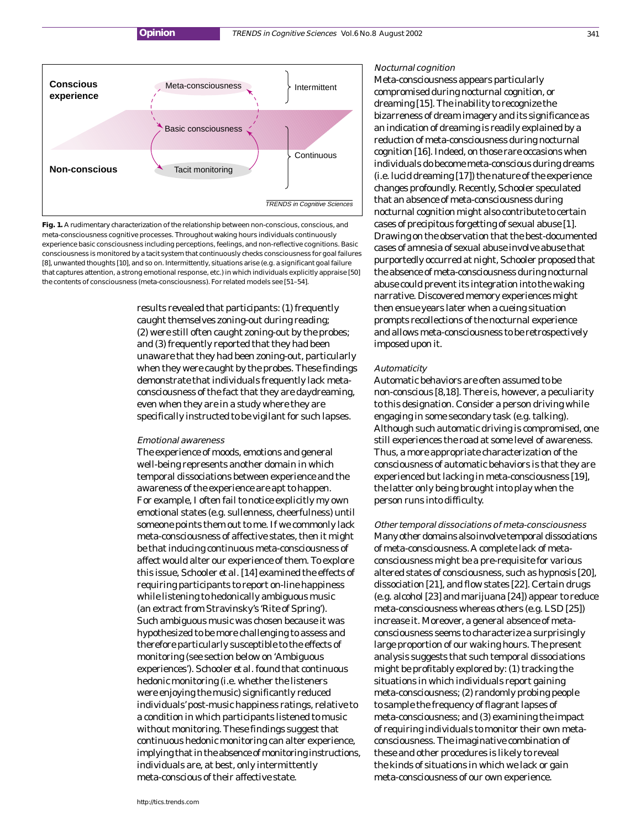

**Fig. 1.** A rudimentary characterization of the relationship between non-conscious, conscious, and meta-consciousness cognitive processes. Throughout waking hours individuals continuously experience basic consciousness including perceptions, feelings, and non-reflective cognitions. Basic consciousness is monitored by a tacit system that continuously checks consciousness for goal failures [8], unwanted thoughts [10], and so on. Intermittently, situations arise (e.g. a significant goal failure that captures attention, a strong emotional response, etc.) in which individuals explicitly appraise [50] the contents of consciousness (meta-consciousness). For related models see [51–54].

results revealed that participants: (1) frequently caught themselves zoning-out during reading; (2) were still often caught zoning-out by the probes; and (3) frequently reported that they had been unaware that they had been zoning-out, particularly when they were caught by the probes. These findings demonstrate that individuals frequently lack metaconsciousness of the fact that they are daydreaming, even when they are in a study where they are specifically instructed to be vigilant for such lapses.

#### Emotional awareness

The experience of moods, emotions and general well-being represents another domain in which temporal dissociations between experience and the awareness of the experience are apt to happen. For example, I often fail to notice explicitly my own emotional states (e.g. sullenness, cheerfulness) until someone points them out to me. If we commonly lack meta-consciousness of affective states, then it might be that inducing continuous meta-consciousness of affect would alter our experience of them. To explore this issue, Schooler *et al.* [14] examined the effects of requiring participants to report on-line happiness while listening to hedonically ambiguous music (an extract from Stravinsky's 'Rite of Spring'). Such ambiguous music was chosen because it was hypothesized to be more challenging to assess and therefore particularly susceptible to the effects of monitoring (see section below on 'Ambiguous experiences'). Schooler *et al.* found that continuous hedonic monitoring (i.e. whether the listeners were enjoying the music) significantly reduced individuals'post-music happiness ratings, relative to a condition in which participants listened to music without monitoring. These findings suggest that continuous hedonic monitoring can alter experience, implying that in the absence of monitoring instructions, individuals are, at best, only intermittently meta-conscious of their affective state.

#### Nocturnal cognition

Meta-consciousness appears particularly compromised during nocturnal cognition, or dreaming [15]. The inability to recognize the bizarreness of dream imagery and its significance as an indication of dreaming is readily explained by a reduction of meta-consciousness during nocturnal cognition [16]. Indeed, on those rare occasions when individuals do become meta-conscious during dreams (i.e. lucid dreaming [17]) the nature of the experience changes profoundly. Recently, Schooler speculated that an absence of meta-consciousness during nocturnal cognition might also contribute to certain cases of precipitous forgetting of sexual abuse [1]. Drawing on the observation that the best-documented cases of amnesia of sexual abuse involve abuse that purportedly occurred at night, Schooler proposed that the absence of meta-consciousness during nocturnal abuse could prevent its integration into the waking narrative. Discovered memory experiences might then ensue years later when a cueing situation prompts recollections of the nocturnal experience and allows meta-consciousness to be retrospectively imposed upon it.

#### **Automaticity**

Automatic behaviors are often assumed to be non-conscious [8,18]. There is, however, a peculiarity to this designation. Consider a person driving while engaging in some secondary task (e.g. talking). Although such automatic driving is compromised, one still experiences the road at some level of awareness. Thus, a more appropriate characterization of the consciousness of automatic behaviors is that they are experienced but lacking in meta-consciousness [19], the latter only being brought into play when the person runs into difficulty.

Other temporal dissociations of meta-consciousness Many other domains also involve temporal dissociations of meta-consciousness. A complete lack of metaconsciousness might be a pre-requisite for various altered states of consciousness, such as hypnosis [20], dissociation [21], and flow states [22]. Certain drugs (e.g. alcohol [23] and marijuana [24]) appear to reduce meta-consciousness whereas others (e.g. LSD [25]) increase it. Moreover, a general absence of metaconsciousness seems to characterize a surprisingly large proportion of our waking hours. The present analysis suggests that such temporal dissociations might be profitably explored by: (1) tracking the situations in which individuals report gaining meta-consciousness; (2) randomly probing people to sample the frequency of flagrant lapses of meta-consciousness; and (3) examining the impact of requiring individuals to monitor their own metaconsciousness. The imaginative combination of these and other procedures is likely to reveal the kinds of situations in which we lack or gain meta-consciousness of our own experience.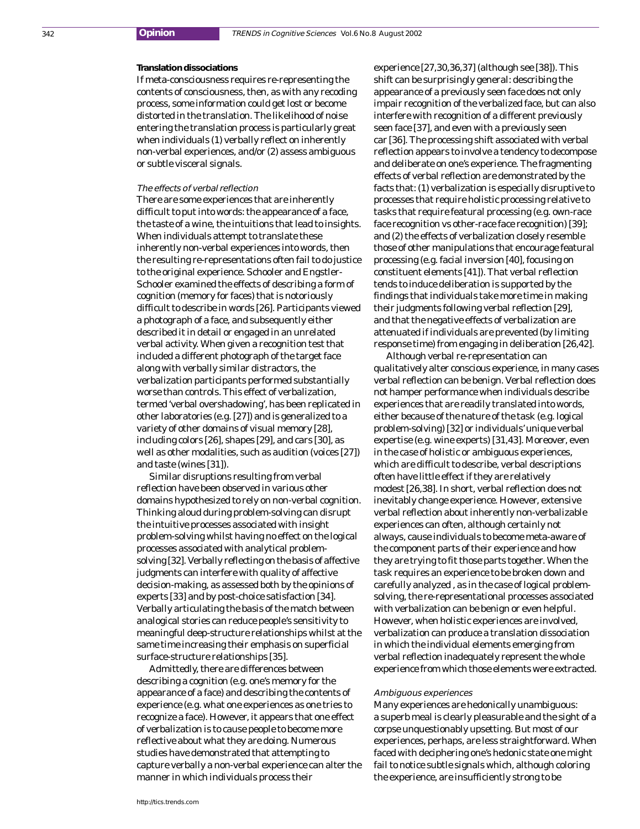#### **Translation dissociations**

If meta-consciousness requires re-representing the contents of consciousness, then, as with any recoding process, some information could get lost or become distorted in the translation. The likelihood of noise entering the translation process is particularly great when individuals (1) verbally reflect on inherently non-verbal experiences, and/or (2) assess ambiguous or subtle visceral signals.

#### The effects of verbal reflection

There are some experiences that are inherently difficult to put into words: the appearance of a face, the taste of a wine, the intuitions that lead to insights. When individuals attempt to translate these inherently non-verbal experiences into words, then the resulting re-representations often fail to do justice to the original experience. Schooler and Engstler-Schooler examined the effects of describing a form of cognition (memory for faces) that is notoriously difficult to describe in words [26]. Participants viewed a photograph of a face, and subsequently either described it in detail or engaged in an unrelated verbal activity. When given a recognition test that included a different photograph of the target face along with verbally similar distractors, the verbalization participants performed substantially worse than controls. This effect of verbalization, termed 'verbal overshadowing', has been replicated in other laboratories (e.g. [27]) and is generalized to a variety of other domains of visual memory [28], including colors [26], shapes [29], and cars [30], as well as other modalities, such as audition (voices [27]) and taste (wines [31]).

Similar disruptions resulting from verbal reflection have been observed in various other domains hypothesized to rely on non-verbal cognition. Thinking aloud during problem-solving can disrupt the intuitive processes associated with insight problem-solving whilst having no effect on the logical processes associated with analytical problemsolving [32]. Verbally reflecting on the basis of affective judgments can interfere with quality of affective decision-making, as assessed both by the opinions of experts [33] and by post-choice satisfaction [34]. Verbally articulating the basis of the match between analogical stories can reduce people's sensitivity to meaningful deep-structure relationships whilst at the same time increasing their emphasis on superficial surface-structure relationships [35].

Admittedly, there are differences between describing a cognition (e.g. one's memory for the appearance of a face) and describing the contents of experience (e.g. what one experiences as one tries to recognize a face). However, it appears that one effect of verbalization is to cause people to become more reflective about what they are doing. Numerous studies have demonstrated that attempting to capture verbally a non-verbal experience can alter the manner in which individuals process their

experience [27,30,36,37] (although see [38]). This shift can be surprisingly general: describing the appearance of a previously seen face does not only impair recognition of the verbalized face, but can also interfere with recognition of a different previously seen face [37], and even with a previously seen car [36]. The processing shift associated with verbal reflection appears to involve a tendency to decompose and deliberate on one's experience. The fragmenting effects of verbal reflection are demonstrated by the facts that: (1) verbalization is especially disruptive to processes that require holistic processing relative to tasks that require featural processing (e.g. own-race face recognition vs other-race face recognition) [39]; and (2) the effects of verbalization closely resemble those of other manipulations that encourage featural processing (e.g. facial inversion [40], focusing on constituent elements [41]). That verbal reflection tends to induce deliberation is supported by the findings that individuals take more time in making their judgments following verbal reflection [29], and that the negative effects of verbalization are attenuated if individuals are prevented (by limiting response time) from engaging in deliberation [26,42].

Although verbal re-representation can qualitatively alter conscious experience, in many cases verbal reflection can be benign. Verbal reflection does not hamper performance when individuals describe experiences that are readily translated into words, either because of the nature of the task (e.g. logical problem-solving) [32] or individuals'unique verbal expertise (e.g. wine experts) [31,43]. Moreover, even in the case of holistic or ambiguous experiences, which are difficult to describe, verbal descriptions often have little effect if they are relatively modest [26,38]. In short, verbal reflection does not inevitably change experience. However, extensive verbal reflection about inherently non-verbalizable experiences can often, although certainly not always, cause individuals to become meta-aware of the component parts of their experience and how they are trying to fit those parts together. When the task requires an experience to be broken down and carefully analyzed , as in the case of logical problemsolving, the re-representational processes associated with verbalization can be benign or even helpful. However, when holistic experiences are involved, verbalization can produce a translation dissociation in which the individual elements emerging from verbal reflection inadequately represent the whole experience from which those elements were extracted.

#### Ambiguous experiences

Many experiences are hedonically unambiguous: a superb meal is clearly pleasurable and the sight of a corpse unquestionably upsetting. But most of our experiences, perhaps, are less straightforward. When faced with deciphering one's hedonic state one might fail to notice subtle signals which, although coloring the experience, are insufficiently strong to be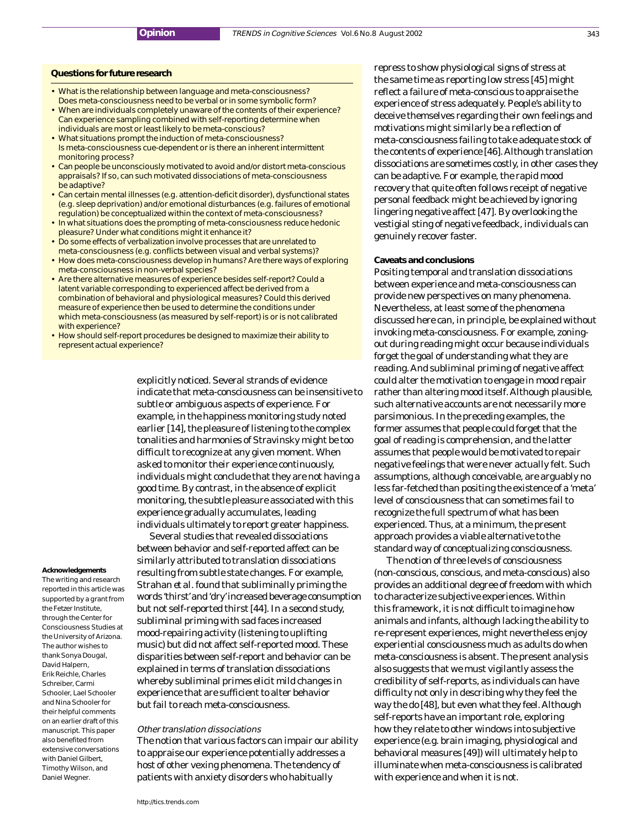#### **Questions for future research**

- What is the relationship between language and meta-consciousness? Does meta-consciousness need to be verbal or in some symbolic form?
- When are individuals completely unaware of the contents of their experience? Can experience sampling combined with self-reporting determine when individuals are most or least likely to be meta-conscious?
- What situations prompt the induction of meta-consciousness? Is meta-consciousness cue-dependent or is there an inherent intermittent monitoring process?
- Can people be unconsciously motivated to avoid and/or distort meta-conscious appraisals? If so, can such motivated dissociations of meta-consciousness be adaptive?
- Can certain mental illnesses (e.g. attention-deficit disorder), dysfunctional states (e.g. sleep deprivation) and/or emotional disturbances (e.g. failures of emotional regulation) be conceptualized within the context of meta-consciousness?
- In what situations does the prompting of meta-consciousness reduce hedonic pleasure? Under what conditions might it enhance it?
- Do some effects of verbalization involve processes that are unrelated to meta-consciousness (e.g. conflicts between visual and verbal systems)?
- How does meta-consciousness develop in humans? Are there ways of exploring meta-consciousness in non-verbal species?
- Are there alternative measures of experience besides self-report? Could a latent variable corresponding to experienced affect be derived from a combination of behavioral and physiological measures? Could this derived measure of experience then be used to determine the conditions under which meta-consciousness (as measured by self-report) is or is not calibrated with experience?
- How should self-report procedures be designed to maximize their ability to represent actual experience?

explicitly noticed. Several strands of evidence indicate that meta-consciousness can be insensitive to subtle or ambiguous aspects of experience. For example, in the happiness monitoring study noted earlier [14], the pleasure of listening to the complex tonalities and harmonies of Stravinsky might be too difficult to recognize at any given moment. When asked to monitor their experience continuously, individuals might conclude that they are not having a good time. By contrast, in the absence of explicit monitoring, the subtle pleasure associated with this experience gradually accumulates, leading individuals ultimately to report greater happiness.

Several studies that revealed dissociations

**Acknowledgements**

The writing and research reported in this article was supported by a grant from the Fetzer Institute, through the Center for Consciousness Studies at the University of Arizona. The author wishes to thank Sonya Dougal, David Halpern, Erik Reichle, Charles Schreiber, Carmi Schooler, Lael Schooler and Nina Schooler for their helpful comments on an earlier draft of this manuscript. This paper also benefited from extensive conversations with Daniel Gilbert, Timothy Wilson, and Daniel Wegner.

between behavior and self-reported affect can be similarly attributed to translation dissociations resulting from subtle state changes. For example, Strahan *et al.* found that subliminally priming the words 'thirst'and 'dry'increased beverage consumption but not self-reported thirst [44]. In a second study, subliminal priming with sad faces increased mood-repairing activity (listening to uplifting music) but did not affect self-reported mood. These disparities between self-report and behavior can be explained in terms of translation dissociations whereby subliminal primes elicit mild changes in experience that are sufficient to alter behavior but fail to reach meta-consciousness.

#### Other translation dissociations

The notion that various factors can impair our ability to appraise our experience potentially addresses a host of other vexing phenomena. The tendency of patients with anxiety disorders who habitually

repress to show physiological signs of stress at the same time as reporting low stress [45] might reflect a failure of meta-conscious to appraise the experience of stress adequately. People's ability to deceive themselves regarding their own feelings and motivations might similarly be a reflection of meta-consciousness failing to take adequate stock of the contents of experience [46]. Although translation dissociations are sometimes costly, in other cases they can be adaptive. For example, the rapid mood recovery that quite often follows receipt of negative personal feedback might be achieved by ignoring lingering negative affect [47]. By overlooking the vestigial sting of negative feedback, individuals can genuinely recover faster.

#### **Caveats and conclusions**

Positing temporal and translation dissociations between experience and meta-consciousness can provide new perspectives on many phenomena. Nevertheless, at least some of the phenomena discussed here can, in principle, be explained without invoking meta-consciousness. For example, zoningout during reading might occur because individuals forget the goal of understanding what they are reading. And subliminal priming of negative affect could alter the motivation to engage in mood repair rather than altering mood itself. Although plausible, such alternative accounts are not necessarily more parsimonious. In the preceding examples, the former assumes that people could forget that the goal of reading is comprehension, and the latter assumes that people would be motivated to repair negative feelings that were never actually felt. Such assumptions, although conceivable, are arguably no less far-fetched than positing the existence of a 'meta' level of consciousness that can sometimes fail to recognize the full spectrum of what has been experienced. Thus, at a minimum, the present approach provides a viable alternative to the standard way of conceptualizing consciousness.

The notion of three levels of consciousness (non-conscious, conscious, and meta-conscious) also provides an additional degree of freedom with which to characterize subjective experiences. Within this framework, it is not difficult to imagine how animals and infants, although lacking the ability to re-represent experiences, might nevertheless enjoy experiential consciousness much as adults do when meta-consciousness is absent. The present analysis also suggests that we must vigilantly assess the credibility of self-reports, as individuals can have difficulty not only in describing *why* they feel the way the do [48], but even *what*they feel. Although self-reports have an important role, exploring how they relate to other windows into subjective experience (e.g. brain imaging, physiological and behavioral measures [49]) will ultimately help to illuminate when meta-consciousness is calibrated with experience and when it is not.